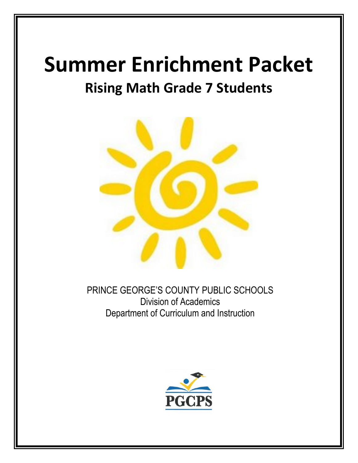# **Summer Enrichment Packet**

## **Rising Math Grade 7 Students**



PRINCE GEORGE'S COUNTY PUBLIC SCHOOLS Division of Academics Department of Curriculum and Instruction

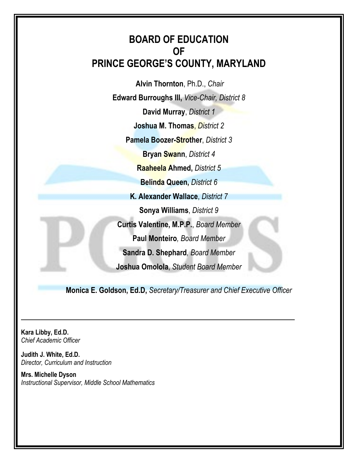## **BOARD OF EDUCATION OF PRINCE GEORGE'S COUNTY, MARYLAND**

**Alvin Thornton**, Ph.D., *Chair* **Edward Burroughs III,** *Vice-Chair, District 8* **David Murray**, *District 1*

**Joshua M. Thomas**, *District 2*

**Pamela Boozer-Strother**, *District 3*

**Bryan Swann**, *District 4*

**Raaheela Ahmed,** *District 5*

**Belinda Queen,** *District 6*

**K. Alexander Wallace**, *District 7*

**Sonya Williams**, *District 9*

**Curtis Valentine, M.P.P.**, *Board Member*

**Paul Monteiro***, Board Member*

**Sandra D. Shephard***, Board Member*

**Joshua Omolola**, *Student Board Member*

**Monica E. Goldson, Ed.D,** *Secretary/Treasurer and Chief Executive Officer*

**Kara Libby, Ed.D.** *Chief Academic Officer*

**Judith J. White, Ed.D.** *Director, Curriculum and Instruction*

**Mrs. Michelle Dyson** *Instructional Supervisor, Middle School Mathematics*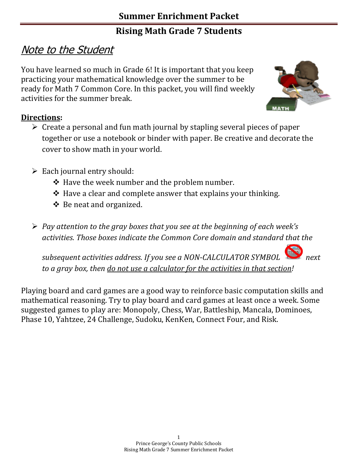## Note to the Student

You have learned so much in Grade 6! It is important that you keep practicing your mathematical knowledge over the summer to be ready for Math 7 Common Core. In this packet, you will find weekly activities for the summer break.



### **Directions:**

- $\triangleright$  Create a personal and fun math journal by stapling several pieces of paper together or use a notebook or binder with paper. Be creative and decorate the cover to show math in your world.
- $\triangleright$  Each journal entry should:
	- $\triangle$  Have the week number and the problem number.
	- $\triangle$  Have a clear and complete answer that explains your thinking.
	- Be neat and organized.
- *Pay attention to the gray boxes that you see at the beginning of each week's activities. Those boxes indicate the Common Core domain and standard that the*

*subsequent activities address. If you see a NON-CALCULATOR SYMBOL to a gray box, then do not use a calculator for the activities in that section!*

Playing board and card games are a good way to reinforce basic computation skills and mathematical reasoning. Try to play board and card games at least once a week. Some suggested games to play are: Monopoly, Chess, War, Battleship, Mancala, Dominoes, Phase 10, Yahtzee, 24 Challenge, Sudoku, KenKen, Connect Four, and Risk.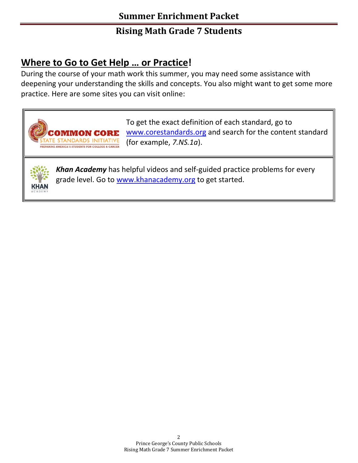## **Where to Go to Get Help … or Practice!**

**OMMON CORE** TE STANDARDS INITIATIVE PREPARING AMERICA'S STUDENTS FOR COLLEGE & CAREER

During the course of your math work this summer, you may need some assistance with deepening your understanding the skills and concepts. You also might want to get some more practice. Here are some sites you can visit online:

> To get the exact definition of each standard, go to [www.corestandards.org](http://www.corestandards.org/) and search for the content standard (for example, *7.NS.1a*).



*Khan Academy* has helpful videos and self-guided practice problems for every grade level. Go to [www.khanacademy.org](http://www.khanacademy.org/) to get started.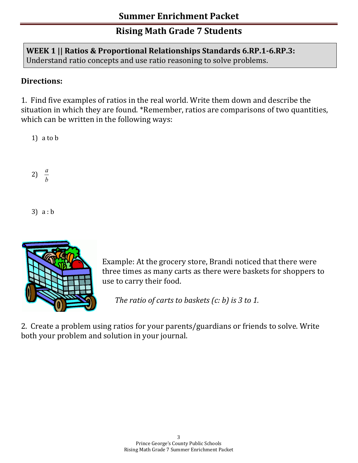### **WEEK 1 || Ratios & Proportional Relationships Standards 6.RP.1-6.RP.3:**  Understand ratio concepts and use ratio reasoning to solve problems.

### **Directions:**

1. Find five examples of ratios in the real world. Write them down and describe the situation in which they are found. \*Remember, ratios are comparisons of two quantities, which can be written in the following ways:

1) a to b

2)  $\frac{a}{b}$ 

3) a : b



Example: At the grocery store, Brandi noticed that there were three times as many carts as there were baskets for shoppers to use to carry their food.

 *The ratio of carts to baskets (c: b) is 3 to 1.* 

2. Create a problem using ratios for your parents/guardians or friends to solve. Write both your problem and solution in your journal.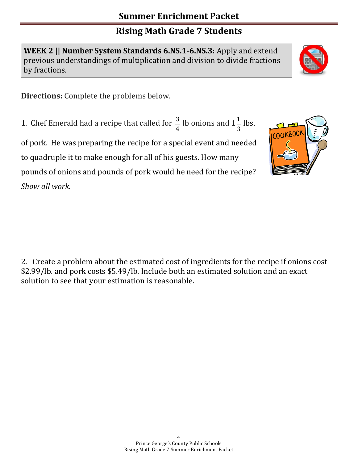**WEEK 2 || Number System Standards 6.NS.1-6.NS.3:** Apply and extend previous understandings of multiplication and division to divide fractions by fractions.

**Directions:** Complete the problems below.

1. Chef Emerald had a recipe that called for  $\frac{3}{4}$  lb onions and 1 3  $\frac{1}{2}$  lbs.

of pork. He was preparing the recipe for a special event and needed to quadruple it to make enough for all of his guests. How many pounds of onions and pounds of pork would he need for the recipe? *Show all work.*

2. Create a problem about the estimated cost of ingredients for the recipe if onions cost \$2.99/lb. and pork costs \$5.49/lb. Include both an estimated solution and an exact solution to see that your estimation is reasonable.



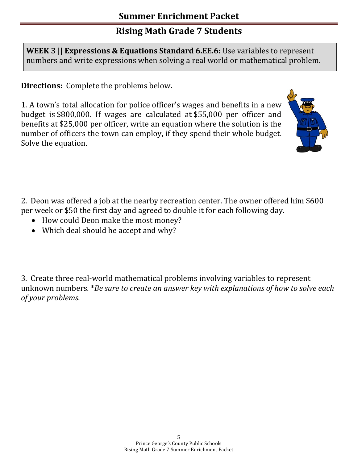**WEEK 3 || Expressions & Equations Standard 6.EE.6:** Use variables to represent numbers and write expressions when solving a real world or mathematical problem.

**Directions:** Complete the problems below.

1. A town's total allocation for police officer's wages and benefits in a new budget is \$800,000. If wages are calculated at \$55,000 per officer and benefits at \$25,000 per officer, write an equation where the solution is the number of officers the town can employ, if they spend their whole budget. Solve the equation.



2. Deon was offered a job at the nearby recreation center. The owner offered him \$600 per week or \$50 the first day and agreed to double it for each following day.

- How could Deon make the most money?
- Which deal should he accept and why?

3. Create three real-world mathematical problems involving variables to represent unknown numbers. \**Be sure to create an answer key with explanations of how to solve each of your problems.*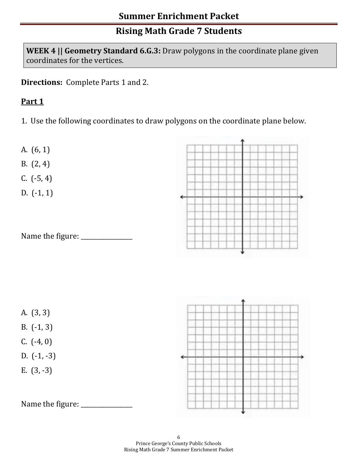**WEEK 4 || Geometry Standard 6.G.3:** Draw polygons in the coordinate plane given coordinates for the vertices.

**Directions:** Complete Parts 1 and 2.

#### **Part 1**

1. Use the following coordinates to draw polygons on the coordinate plane below.



B. (2, 4)

C. (-5, 4)

D. (-1, 1)





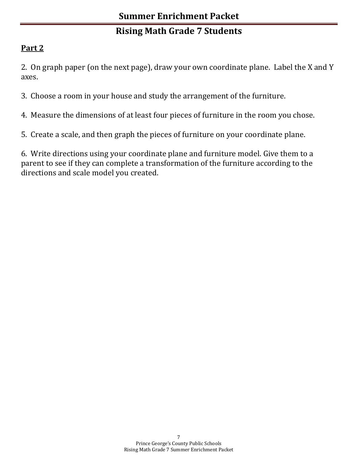## **Part 2**

2. On graph paper (on the next page), draw your own coordinate plane. Label the X and Y axes.

- 3. Choose a room in your house and study the arrangement of the furniture.
- 4. Measure the dimensions of at least four pieces of furniture in the room you chose.
- 5. Create a scale, and then graph the pieces of furniture on your coordinate plane.

6. Write directions using your coordinate plane and furniture model. Give them to a parent to see if they can complete a transformation of the furniture according to the directions and scale model you created.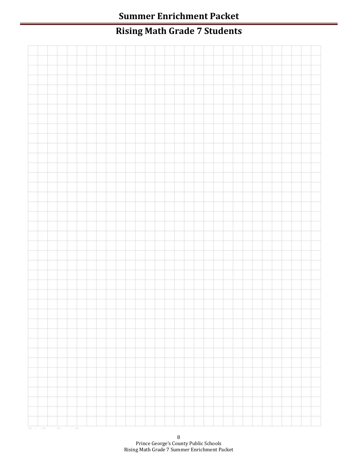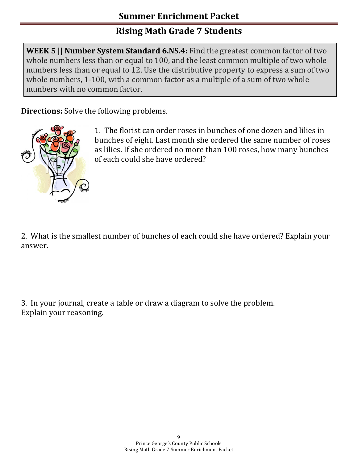**WEEK 5 || Number System Standard 6.NS.4:** Find the greatest common factor of two whole numbers less than or equal to 100, and the least common multiple of two whole numbers less than or equal to 12. Use the distributive property to express a sum of two whole numbers, 1-100, with a common factor as a multiple of a sum of two whole numbers with no common factor.

**Directions:** Solve the following problems.



1. The florist can order roses in bunches of one dozen and lilies in bunches of eight. Last month she ordered the same number of roses as lilies. If she ordered no more than 100 roses, how many bunches of each could she have ordered?

2. What is the smallest number of bunches of each could she have ordered? Explain your answer.

3. In your journal, create a table or draw a diagram to solve the problem. Explain your reasoning.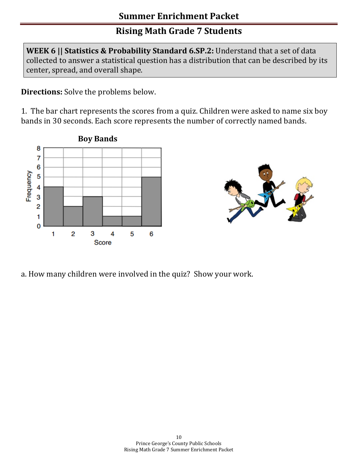**WEEK 6 || Statistics & Probability Standard 6.SP.2:** Understand that a set of data collected to answer a statistical question has a distribution that can be described by its center, spread, and overall shape.

**Directions:** Solve the problems below.

1. The bar chart represents the scores from a quiz. Children were asked to name six boy bands in 30 seconds. Each score represents the number of correctly named bands.





a. How many children were involved in the quiz? Show your work.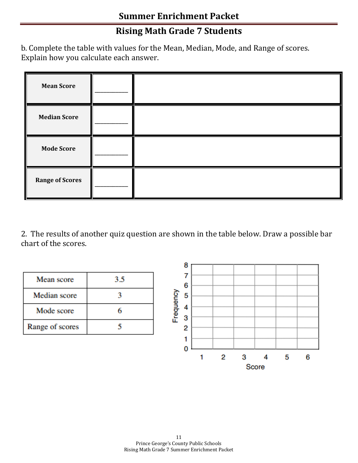b. Complete the table with values for the Mean, Median, Mode, and Range of scores. Explain how you calculate each answer.

| <b>Mean Score</b>      |  |
|------------------------|--|
| <b>Median Score</b>    |  |
| <b>Mode Score</b>      |  |
| <b>Range of Scores</b> |  |

2. The results of another quiz question are shown in the table below. Draw a possible bar chart of the scores.

| Mean score      | 3.5 |
|-----------------|-----|
| Median score    |     |
| Mode score      |     |
| Range of scores |     |

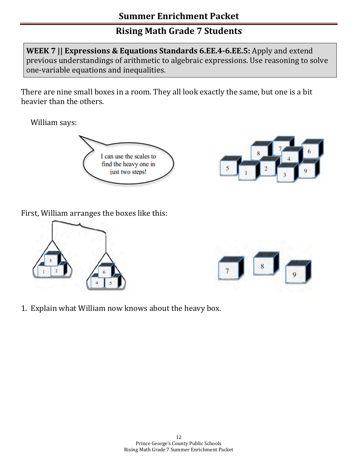**WEEK 7 || Expressions & Equations Standards 6.EE.4-6.EE.5:** Apply and extend previous understandings of arithmetic to algebraic expressions. Use reasoning to solve one-variable equations and inequalities.

There are nine small boxes in a room. They all look exactly the same, but one is a bit heavier than the others.

William says:





First, William arranges the boxes like this:





1. Explain what William now knows about the heavy box.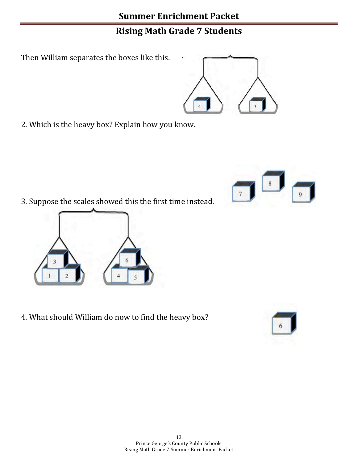Then William separates the boxes like this.

2. Which is the heavy box? Explain how you know.

3. Suppose the scales showed this the first time instead.

4. What should William do now to find the heavy box?







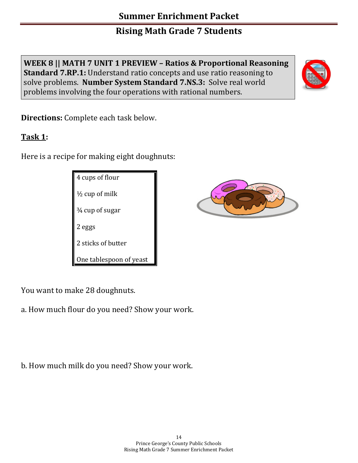**WEEK 8 || MATH 7 UNIT 1 PREVIEW – Ratios & Proportional Reasoning Standard 7.RP.1:** Understand ratio concepts and use ratio reasoning to solve problems. **Number System Standard 7.NS.3:** Solve real world problems involving the four operations with rational numbers.



### **Task 1:**

Here is a recipe for making eight doughnuts:

4 cups of flour  $\frac{1}{2}$  cup of milk ¾ cup of sugar 2 eggs 2 sticks of butter One tablespoon of yeast

You want to make 28 doughnuts.

a. How much flour do you need? Show your work.

b. How much milk do you need? Show your work.



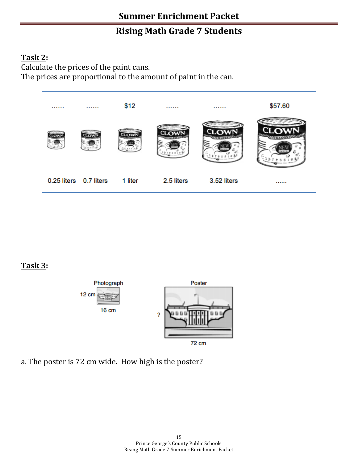#### **Task 2:**

Calculate the prices of the paint cans.

The prices are proportional to the amount of paint in the can.



## **Task 3:**



a. The poster is 72 cm wide. How high is the poster?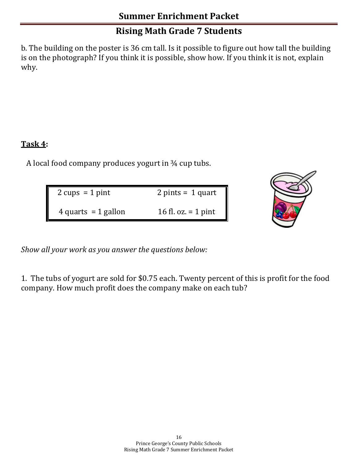b. The building on the poster is 36 cm tall. Is it possible to figure out how tall the building is on the photograph? If you think it is possible, show how. If you think it is not, explain why.

#### **Task 4:**

A local food company produces yogurt in ¾ cup tubs.

| $2 \text{ cups} = 1 \text{ pint}$ | $2 \text{ pints} = 1 \text{ quart}$ |
|-----------------------------------|-------------------------------------|
| 4 quarts = $1$ gallon             | 16 fl. oz. $=$ 1 pint               |



*Show all your work as you answer the questions below:*

1. The tubs of yogurt are sold for \$0.75 each. Twenty percent of this is profit for the food company. How much profit does the company make on each tub?